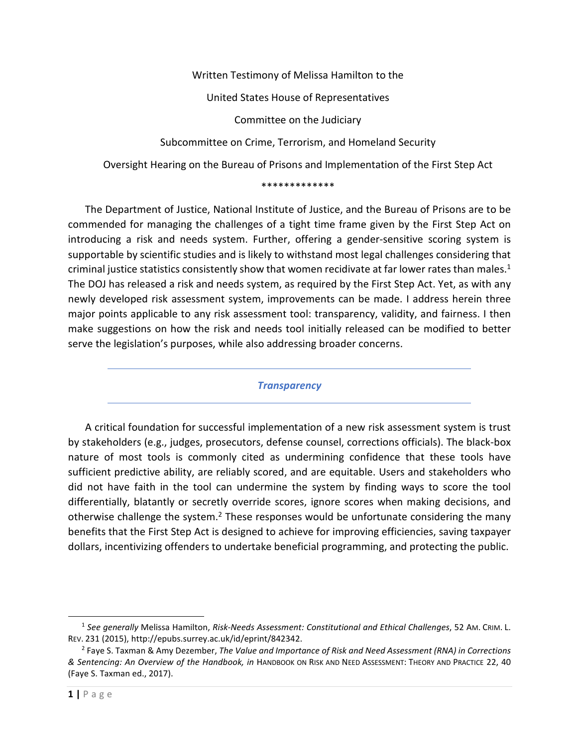Written Testimony of Melissa Hamilton to the United States House of Representatives Committee on the Judiciary Subcommittee on Crime, Terrorism, and Homeland Security Oversight Hearing on the Bureau of Prisons and Implementation of the First Step Act

#### \*\*\*\*\*\*\*\*\*\*\*\*\*

The Department of Justice, National Institute of Justice, and the Bureau of Prisons are to be commended for managing the challenges of a tight time frame given by the First Step Act on introducing a risk and needs system. Further, offering a gender-sensitive scoring system is supportable by scientific studies and is likely to withstand most legal challenges considering that criminal justice statistics consistently show that women recidivate at far lower rates than males.<sup>1</sup> The DOJ has released a risk and needs system, as required by the First Step Act. Yet, as with any newly developed risk assessment system, improvements can be made. I address herein three major points applicable to any risk assessment tool: transparency, validity, and fairness. I then make suggestions on how the risk and needs tool initially released can be modified to better serve the legislation's purposes, while also addressing broader concerns.

### *Transparency*

A critical foundation for successful implementation of a new risk assessment system is trust by stakeholders (e.g., judges, prosecutors, defense counsel, corrections officials). The black-box nature of most tools is commonly cited as undermining confidence that these tools have sufficient predictive ability, are reliably scored, and are equitable. Users and stakeholders who did not have faith in the tool can undermine the system by finding ways to score the tool differentially, blatantly or secretly override scores, ignore scores when making decisions, and otherwise challenge the system.<sup>2</sup> These responses would be unfortunate considering the many benefits that the First Step Act is designed to achieve for improving efficiencies, saving taxpayer dollars, incentivizing offenders to undertake beneficial programming, and protecting the public.

<sup>1</sup> *See generally* Melissa Hamilton, *Risk-Needs Assessment: Constitutional and Ethical Challenges*, 52 AM. CRIM. L. REV. 231 (2015), http://epubs.surrey.ac.uk/id/eprint/842342.

<sup>2</sup> Faye S. Taxman & Amy Dezember, *The Value and Importance of Risk and Need Assessment (RNA) in Corrections & Sentencing: An Overview of the Handbook, in* HANDBOOK ON RISK AND NEED ASSESSMENT: THEORY AND PRACTICE 22, 40 (Faye S. Taxman ed., 2017).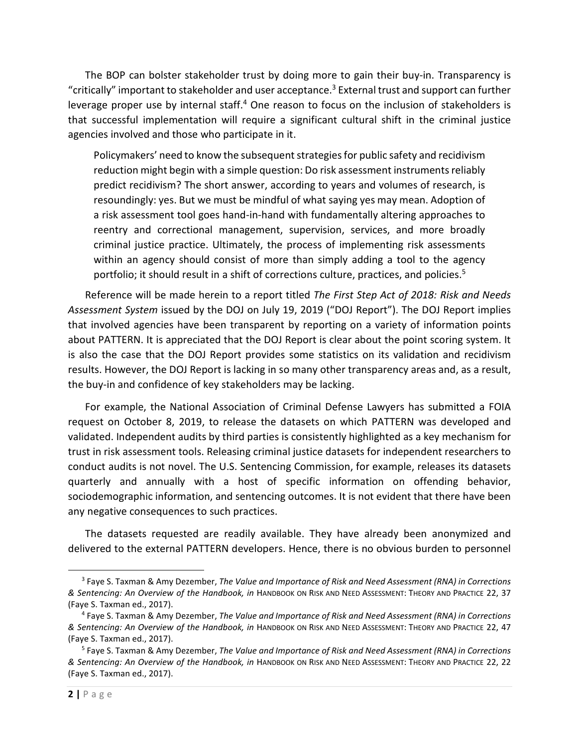The BOP can bolster stakeholder trust by doing more to gain their buy-in. Transparency is "critically" important to stakeholder and user acceptance.<sup>3</sup> External trust and support can further leverage proper use by internal staff.<sup>4</sup> One reason to focus on the inclusion of stakeholders is that successful implementation will require a significant cultural shift in the criminal justice agencies involved and those who participate in it.

Policymakers' need to know the subsequent strategies for public safety and recidivism reduction might begin with a simple question: Do risk assessment instruments reliably predict recidivism? The short answer, according to years and volumes of research, is resoundingly: yes. But we must be mindful of what saying yes may mean. Adoption of a risk assessment tool goes hand-in-hand with fundamentally altering approaches to reentry and correctional management, supervision, services, and more broadly criminal justice practice. Ultimately, the process of implementing risk assessments within an agency should consist of more than simply adding a tool to the agency portfolio; it should result in a shift of corrections culture, practices, and policies.<sup>5</sup>

Reference will be made herein to a report titled *The First Step Act of 2018: Risk and Needs Assessment System* issued by the DOJ on July 19, 2019 ("DOJ Report"). The DOJ Report implies that involved agencies have been transparent by reporting on a variety of information points about PATTERN. It is appreciated that the DOJ Report is clear about the point scoring system. It is also the case that the DOJ Report provides some statistics on its validation and recidivism results. However, the DOJ Report is lacking in so many other transparency areas and, as a result, the buy-in and confidence of key stakeholders may be lacking.

For example, the National Association of Criminal Defense Lawyers has submitted a FOIA request on October 8, 2019, to release the datasets on which PATTERN was developed and validated. Independent audits by third parties is consistently highlighted as a key mechanism for trust in risk assessment tools. Releasing criminal justice datasets for independent researchers to conduct audits is not novel. The U.S. Sentencing Commission, for example, releases its datasets quarterly and annually with a host of specific information on offending behavior, sociodemographic information, and sentencing outcomes. It is not evident that there have been any negative consequences to such practices.

The datasets requested are readily available. They have already been anonymized and delivered to the external PATTERN developers. Hence, there is no obvious burden to personnel

<sup>3</sup> Faye S. Taxman & Amy Dezember, *The Value and Importance of Risk and Need Assessment (RNA) in Corrections & Sentencing: An Overview of the Handbook, in* HANDBOOK ON RISK AND NEED ASSESSMENT: THEORY AND PRACTICE 22, 37 (Faye S. Taxman ed., 2017).

<sup>4</sup> Faye S. Taxman & Amy Dezember, *The Value and Importance of Risk and Need Assessment (RNA) in Corrections & Sentencing: An Overview of the Handbook, in* HANDBOOK ON RISK AND NEED ASSESSMENT: THEORY AND PRACTICE 22, 47 (Faye S. Taxman ed., 2017).

<sup>5</sup> Faye S. Taxman & Amy Dezember, *The Value and Importance of Risk and Need Assessment (RNA) in Corrections & Sentencing: An Overview of the Handbook, in* HANDBOOK ON RISK AND NEED ASSESSMENT: THEORY AND PRACTICE 22, 22 (Faye S. Taxman ed., 2017).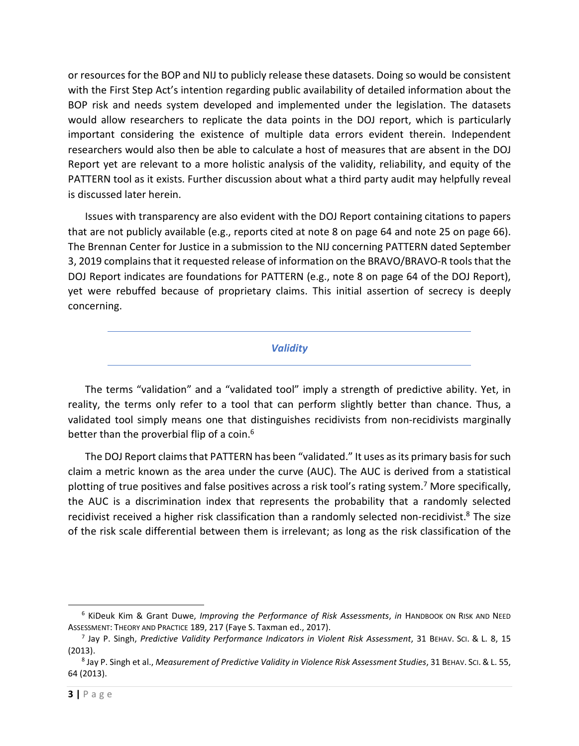or resources for the BOP and NIJ to publicly release these datasets. Doing so would be consistent with the First Step Act's intention regarding public availability of detailed information about the BOP risk and needs system developed and implemented under the legislation. The datasets would allow researchers to replicate the data points in the DOJ report, which is particularly important considering the existence of multiple data errors evident therein. Independent researchers would also then be able to calculate a host of measures that are absent in the DOJ Report yet are relevant to a more holistic analysis of the validity, reliability, and equity of the PATTERN tool as it exists. Further discussion about what a third party audit may helpfully reveal is discussed later herein.

Issues with transparency are also evident with the DOJ Report containing citations to papers that are not publicly available (e.g., reports cited at note 8 on page 64 and note 25 on page 66). The Brennan Center for Justice in a submission to the NIJ concerning PATTERN dated September 3, 2019 complains that it requested release of information on the BRAVO/BRAVO-R tools that the DOJ Report indicates are foundations for PATTERN (e.g., note 8 on page 64 of the DOJ Report), yet were rebuffed because of proprietary claims. This initial assertion of secrecy is deeply concerning.

*Validity* 

The terms "validation" and a "validated tool" imply a strength of predictive ability. Yet, in reality, the terms only refer to a tool that can perform slightly better than chance. Thus, a validated tool simply means one that distinguishes recidivists from non-recidivists marginally better than the proverbial flip of a coin.<sup>6</sup>

The DOJ Report claims that PATTERN has been "validated." It uses as its primary basis for such claim a metric known as the area under the curve (AUC). The AUC is derived from a statistical plotting of true positives and false positives across a risk tool's rating system.<sup>7</sup> More specifically, the AUC is a discrimination index that represents the probability that a randomly selected recidivist received a higher risk classification than a randomly selected non-recidivist.<sup>8</sup> The size of the risk scale differential between them is irrelevant; as long as the risk classification of the

<sup>6</sup> KiDeuk Kim & Grant Duwe, *Improving the Performance of Risk Assessments*, *in* HANDBOOK ON RISK AND NEED ASSESSMENT: THEORY AND PRACTICE 189, 217 (Faye S. Taxman ed., 2017).

<sup>7</sup> Jay P. Singh, *Predictive Validity Performance Indicators in Violent Risk Assessment*, 31 BEHAV. SCI. & L. 8, 15 (2013).

<sup>8</sup> Jay P. Singh et al., *Measurement of Predictive Validity in Violence Risk Assessment Studies*, 31 BEHAV. SCI.& L. 55, 64 (2013).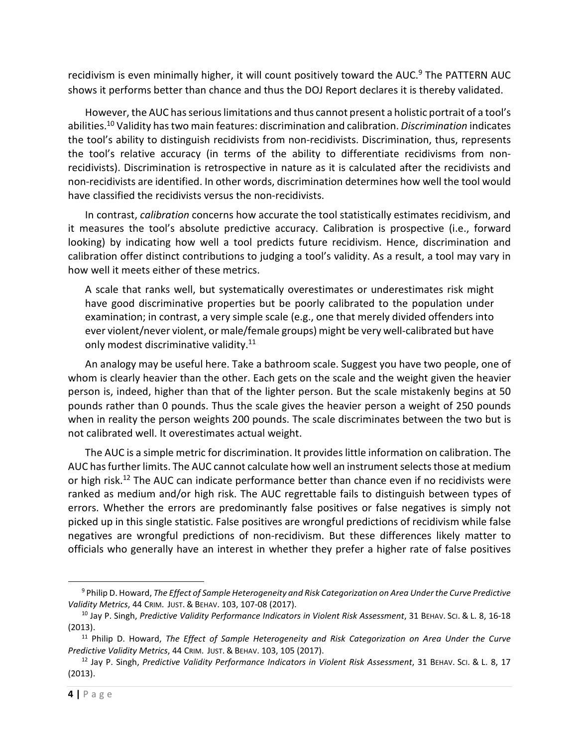recidivism is even minimally higher, it will count positively toward the AUC.<sup>9</sup> The PATTERN AUC shows it performs better than chance and thus the DOJ Report declares it is thereby validated.

However, the AUC has serious limitations and thus cannot present a holistic portrait of a tool's abilities.<sup>10</sup> Validity has two main features: discrimination and calibration. *Discrimination* indicates the tool's ability to distinguish recidivists from non-recidivists. Discrimination, thus, represents the tool's relative accuracy (in terms of the ability to differentiate recidivisms from nonrecidivists). Discrimination is retrospective in nature as it is calculated after the recidivists and non-recidivists are identified. In other words, discrimination determines how well the tool would have classified the recidivists versus the non-recidivists.

In contrast, *calibration* concerns how accurate the tool statistically estimates recidivism, and it measures the tool's absolute predictive accuracy. Calibration is prospective (i.e., forward looking) by indicating how well a tool predicts future recidivism. Hence, discrimination and calibration offer distinct contributions to judging a tool's validity. As a result, a tool may vary in how well it meets either of these metrics.

A scale that ranks well, but systematically overestimates or underestimates risk might have good discriminative properties but be poorly calibrated to the population under examination; in contrast, a very simple scale (e.g., one that merely divided offenders into ever violent/never violent, or male/female groups) might be very well-calibrated but have only modest discriminative validity.<sup>11</sup>

An analogy may be useful here. Take a bathroom scale. Suggest you have two people, one of whom is clearly heavier than the other. Each gets on the scale and the weight given the heavier person is, indeed, higher than that of the lighter person. But the scale mistakenly begins at 50 pounds rather than 0 pounds. Thus the scale gives the heavier person a weight of 250 pounds when in reality the person weights 200 pounds. The scale discriminates between the two but is not calibrated well. It overestimates actual weight.

The AUC is a simple metric for discrimination. It provides little information on calibration. The AUC has further limits. The AUC cannot calculate how well an instrument selects those at medium or high risk.<sup>12</sup> The AUC can indicate performance better than chance even if no recidivists were ranked as medium and/or high risk. The AUC regrettable fails to distinguish between types of errors. Whether the errors are predominantly false positives or false negatives is simply not picked up in this single statistic. False positives are wrongful predictions of recidivism while false negatives are wrongful predictions of non-recidivism. But these differences likely matter to officials who generally have an interest in whether they prefer a higher rate of false positives

<sup>&</sup>lt;sup>9</sup> Philip D. Howard, *The Effect of Sample Heterogeneity and Risk Categorization on Area Under the Curve Predictive Validity Metrics*, 44 CRIM. JUST. & BEHAV. 103, 107-08 (2017).

<sup>10</sup> Jay P. Singh, *Predictive Validity Performance Indicators in Violent Risk Assessment*, 31 BEHAV. SCI. & L. 8, 16-18 (2013).

<sup>11</sup> Philip D. Howard, *The Effect of Sample Heterogeneity and Risk Categorization on Area Under the Curve Predictive Validity Metrics*, 44 CRIM. JUST. & BEHAV. 103, 105 (2017).

<sup>12</sup> Jay P. Singh, *Predictive Validity Performance Indicators in Violent Risk Assessment*, 31 BEHAV. SCI. & L. 8, 17 (2013).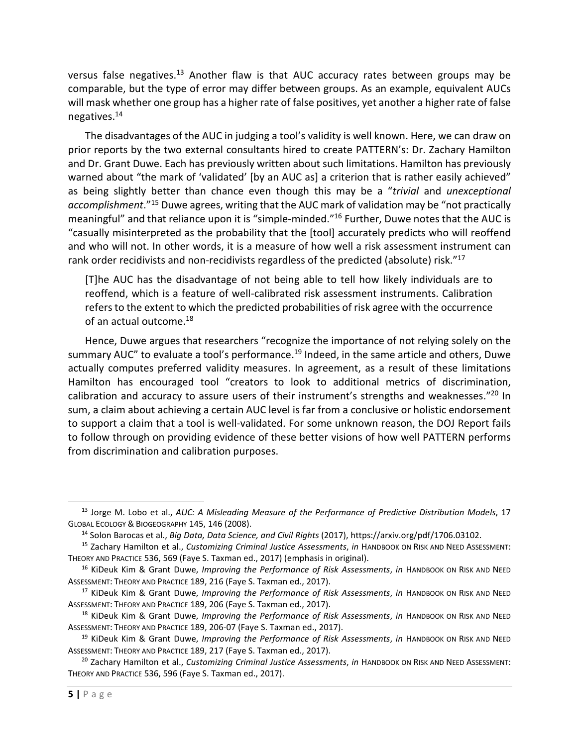versus false negatives.<sup>13</sup> Another flaw is that AUC accuracy rates between groups may be comparable, but the type of error may differ between groups. As an example, equivalent AUCs will mask whether one group has a higher rate of false positives, yet another a higher rate of false negatives.<sup>14</sup>

The disadvantages of the AUC in judging a tool's validity is well known. Here, we can draw on prior reports by the two external consultants hired to create PATTERN's: Dr. Zachary Hamilton and Dr. Grant Duwe. Each has previously written about such limitations. Hamilton has previously warned about "the mark of 'validated' [by an AUC as] a criterion that is rather easily achieved" as being slightly better than chance even though this may be a "*trivial* and *unexceptional accomplishment*."<sup>15</sup> Duwe agrees, writing that the AUC mark of validation may be "not practically meaningful" and that reliance upon it is "simple-minded."<sup>16</sup> Further, Duwe notes that the AUC is "casually misinterpreted as the probability that the [tool] accurately predicts who will reoffend and who will not. In other words, it is a measure of how well a risk assessment instrument can rank order recidivists and non-recidivists regardless of the predicted (absolute) risk."<sup>17</sup>

[T]he AUC has the disadvantage of not being able to tell how likely individuals are to reoffend, which is a feature of well-calibrated risk assessment instruments. Calibration refers to the extent to which the predicted probabilities of risk agree with the occurrence of an actual outcome.<sup>18</sup>

Hence, Duwe argues that researchers "recognize the importance of not relying solely on the summary AUC" to evaluate a tool's performance.<sup>19</sup> Indeed, in the same article and others, Duwe actually computes preferred validity measures. In agreement, as a result of these limitations Hamilton has encouraged tool "creators to look to additional metrics of discrimination, calibration and accuracy to assure users of their instrument's strengths and weaknesses."<sup>20</sup> In sum, a claim about achieving a certain AUC level is far from a conclusive or holistic endorsement to support a claim that a tool is well-validated. For some unknown reason, the DOJ Report fails to follow through on providing evidence of these better visions of how well PATTERN performs from discrimination and calibration purposes.

<sup>&</sup>lt;sup>13</sup> Jorge M. Lobo et al., *AUC: A Misleading Measure of the Performance of Predictive Distribution Models*, 17 GLOBAL ECOLOGY & BIOGEOGRAPHY 145, 146 (2008).

<sup>14</sup> Solon Barocas et al., *Big Data, Data Science, and Civil Rights* (2017), https://arxiv.org/pdf/1706.03102.

<sup>15</sup> Zachary Hamilton et al., *Customizing Criminal Justice Assessments*, *in* HANDBOOK ON RISK AND NEED ASSESSMENT: THEORY AND PRACTICE 536, 569 (Faye S. Taxman ed., 2017) (emphasis in original).

<sup>16</sup> KiDeuk Kim & Grant Duwe, *Improving the Performance of Risk Assessments*, *in* HANDBOOK ON RISK AND NEED ASSESSMENT: THEORY AND PRACTICE 189, 216 (Faye S. Taxman ed., 2017).

<sup>17</sup> KiDeuk Kim & Grant Duwe, *Improving the Performance of Risk Assessments*, *in* HANDBOOK ON RISK AND NEED ASSESSMENT: THEORY AND PRACTICE 189, 206 (Faye S. Taxman ed., 2017).

<sup>18</sup> KiDeuk Kim & Grant Duwe, *Improving the Performance of Risk Assessments*, *in* HANDBOOK ON RISK AND NEED ASSESSMENT: THEORY AND PRACTICE 189, 206-07 (Faye S. Taxman ed., 2017).

<sup>19</sup> KiDeuk Kim & Grant Duwe, *Improving the Performance of Risk Assessments*, *in* HANDBOOK ON RISK AND NEED ASSESSMENT: THEORY AND PRACTICE 189, 217 (Faye S. Taxman ed., 2017).

<sup>20</sup> Zachary Hamilton et al., *Customizing Criminal Justice Assessments*, *in* HANDBOOK ON RISK AND NEED ASSESSMENT: THEORY AND PRACTICE 536, 596 (Faye S. Taxman ed., 2017).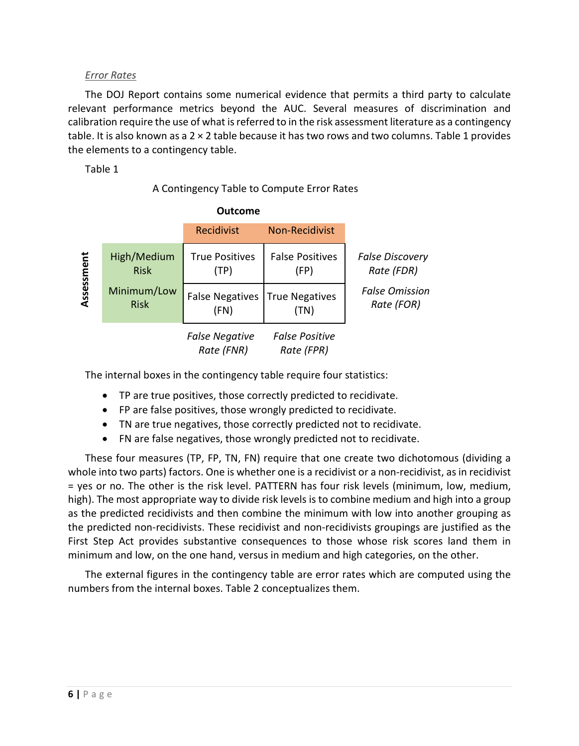## *Error Rates*

The DOJ Report contains some numerical evidence that permits a third party to calculate relevant performance metrics beyond the AUC. Several measures of discrimination and calibration require the use of what is referred to in the risk assessment literature as a contingency table. It is also known as a 2 × 2 table because it has two rows and two columns. Table 1 provides the elements to a contingency table.

Table 1

# A Contingency Table to Compute Error Rates

|            |                            | Recidivist                               | <b>Non-Recidivist</b>               |                                      |
|------------|----------------------------|------------------------------------------|-------------------------------------|--------------------------------------|
| Assessment | High/Medium<br><b>Risk</b> | <b>True Positives</b><br>(TP)            | <b>False Positives</b><br>(FP)      | <b>False Discovery</b><br>Rate (FDR) |
|            | Minimum/Low<br><b>Risk</b> | False Negatives   True Negatives<br>(FN) | (TN)                                | <b>False Omission</b><br>Rate (FOR)  |
|            |                            | <b>False Negative</b><br>Rate (FNR)      | <b>False Positive</b><br>Rate (FPR) |                                      |

The internal boxes in the contingency table require four statistics:

- TP are true positives, those correctly predicted to recidivate.
- FP are false positives, those wrongly predicted to recidivate.
- TN are true negatives, those correctly predicted not to recidivate.
- FN are false negatives, those wrongly predicted not to recidivate.

These four measures (TP, FP, TN, FN) require that one create two dichotomous (dividing a whole into two parts) factors. One is whether one is a recidivist or a non-recidivist, as in recidivist = yes or no. The other is the risk level. PATTERN has four risk levels (minimum, low, medium, high). The most appropriate way to divide risk levels is to combine medium and high into a group as the predicted recidivists and then combine the minimum with low into another grouping as the predicted non-recidivists. These recidivist and non-recidivists groupings are justified as the First Step Act provides substantive consequences to those whose risk scores land them in minimum and low, on the one hand, versus in medium and high categories, on the other.

The external figures in the contingency table are error rates which are computed using the numbers from the internal boxes. Table 2 conceptualizes them.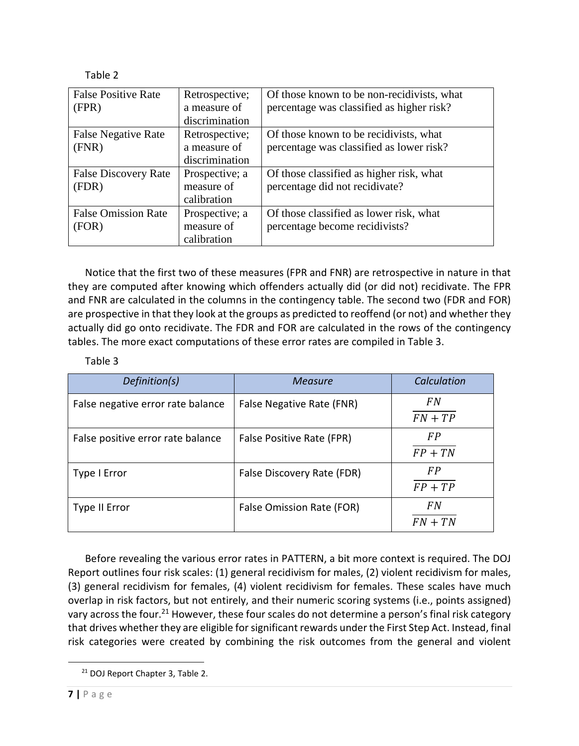| <b>False Positive Rate</b><br>(FPR)  | Retrospective;<br>a measure of<br>discrimination | Of those known to be non-recidivists, what<br>percentage was classified as higher risk? |
|--------------------------------------|--------------------------------------------------|-----------------------------------------------------------------------------------------|
| <b>False Negative Rate</b><br>(FNR)  | Retrospective;<br>a measure of<br>discrimination | Of those known to be recidivists, what<br>percentage was classified as lower risk?      |
| <b>False Discovery Rate</b><br>(FDR) | Prospective; a<br>measure of<br>calibration      | Of those classified as higher risk, what<br>percentage did not recidivate?              |
| <b>False Omission Rate</b><br>(FOR)  | Prospective; a<br>measure of<br>calibration      | Of those classified as lower risk, what<br>percentage become recidivists?               |

Notice that the first two of these measures (FPR and FNR) are retrospective in nature in that they are computed after knowing which offenders actually did (or did not) recidivate. The FPR and FNR are calculated in the columns in the contingency table. The second two (FDR and FOR) are prospective in that they look at the groups as predicted to reoffend (or not) and whether they actually did go onto recidivate. The FDR and FOR are calculated in the rows of the contingency tables. The more exact computations of these error rates are compiled in Table 3.

## Table 3

| Definition(s)                     | <b>Measure</b>             | Calculation            |
|-----------------------------------|----------------------------|------------------------|
| False negative error rate balance | False Negative Rate (FNR)  | <b>FN</b><br>$FN + TP$ |
| False positive error rate balance | False Positive Rate (FPR)  | <b>FP</b><br>$FP + TN$ |
| Type I Error                      | False Discovery Rate (FDR) | <b>FP</b><br>$FP + TP$ |
| Type II Error                     | False Omission Rate (FOR)  | <b>FN</b><br>$FN + TN$ |

Before revealing the various error rates in PATTERN, a bit more context is required. The DOJ Report outlines four risk scales: (1) general recidivism for males, (2) violent recidivism for males, (3) general recidivism for females, (4) violent recidivism for females. These scales have much overlap in risk factors, but not entirely, and their numeric scoring systems (i.e., points assigned) vary across the four.<sup>21</sup> However, these four scales do not determine a person's final risk category that drives whether they are eligible for significant rewards under the First Step Act. Instead, final risk categories were created by combining the risk outcomes from the general and violent

<sup>21</sup> DOJ Report Chapter 3, Table 2.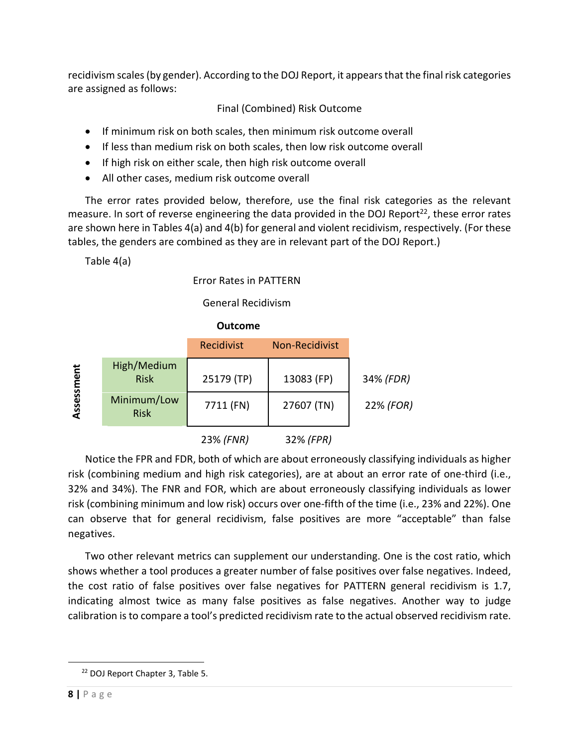recidivism scales (by gender). According to the DOJ Report, it appears that the final risk categories are assigned as follows:

# Final (Combined) Risk Outcome

- If minimum risk on both scales, then minimum risk outcome overall
- If less than medium risk on both scales, then low risk outcome overall
- If high risk on either scale, then high risk outcome overall
- All other cases, medium risk outcome overall

The error rates provided below, therefore, use the final risk categories as the relevant measure. In sort of reverse engineering the data provided in the DOJ Report<sup>22</sup>, these error rates are shown here in Tables 4(a) and 4(b) for general and violent recidivism, respectively. (For these tables, the genders are combined as they are in relevant part of the DOJ Report.)

Table 4(a)

Error Rates in PATTERN

General Recidivism

 **Outcome** 



Notice the FPR and FDR, both of which are about erroneously classifying individuals as higher risk (combining medium and high risk categories), are at about an error rate of one-third (i.e., 32% and 34%). The FNR and FOR, which are about erroneously classifying individuals as lower risk (combining minimum and low risk) occurs over one-fifth of the time (i.e., 23% and 22%). One can observe that for general recidivism, false positives are more "acceptable" than false negatives.

Two other relevant metrics can supplement our understanding. One is the cost ratio, which shows whether a tool produces a greater number of false positives over false negatives. Indeed, the cost ratio of false positives over false negatives for PATTERN general recidivism is 1.7, indicating almost twice as many false positives as false negatives. Another way to judge calibration is to compare a tool's predicted recidivism rate to the actual observed recidivism rate.

<sup>22</sup> DOJ Report Chapter 3, Table 5.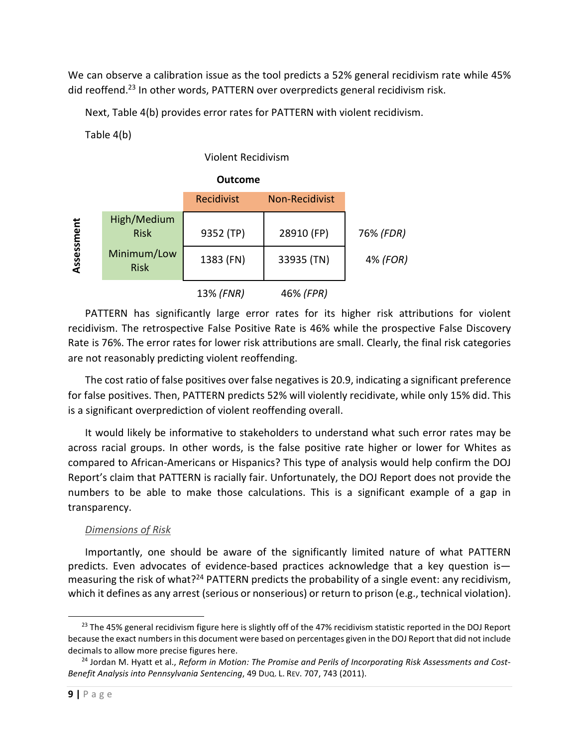We can observe a calibration issue as the tool predicts a 52% general recidivism rate while 45% did reoffend.<sup>23</sup> In other words, PATTERN over overpredicts general recidivism risk.

Next, Table 4(b) provides error rates for PATTERN with violent recidivism.

Table 4(b)

# Violent Recidivism

|            |                            | <b>Outcome</b>    |                       |           |
|------------|----------------------------|-------------------|-----------------------|-----------|
|            |                            | <b>Recidivist</b> | <b>Non-Recidivist</b> |           |
| Assessment | High/Medium<br><b>Risk</b> | 9352 (TP)         | 28910 (FP)            | 76% (FDR) |
|            | Minimum/Low<br><b>Risk</b> | 1383 (FN)         | 33935 (TN)            | 4% (FOR)  |
|            |                            | 13% (FNR)         | 46% (FPR)             |           |

PATTERN has significantly large error rates for its higher risk attributions for violent recidivism. The retrospective False Positive Rate is 46% while the prospective False Discovery Rate is 76%. The error rates for lower risk attributions are small. Clearly, the final risk categories are not reasonably predicting violent reoffending.

The cost ratio of false positives over false negatives is 20.9, indicating a significant preference for false positives. Then, PATTERN predicts 52% will violently recidivate, while only 15% did. This is a significant overprediction of violent reoffending overall.

It would likely be informative to stakeholders to understand what such error rates may be across racial groups. In other words, is the false positive rate higher or lower for Whites as compared to African-Americans or Hispanics? This type of analysis would help confirm the DOJ Report's claim that PATTERN is racially fair. Unfortunately, the DOJ Report does not provide the numbers to be able to make those calculations. This is a significant example of a gap in transparency.

# *Dimensions of Risk*

Importantly, one should be aware of the significantly limited nature of what PATTERN predicts. Even advocates of evidence-based practices acknowledge that a key question is measuring the risk of what?<sup>24</sup> PATTERN predicts the probability of a single event: any recidivism, which it defines as any arrest (serious or nonserious) or return to prison (e.g., technical violation).

<sup>&</sup>lt;sup>23</sup> The 45% general recidivism figure here is slightly off of the 47% recidivism statistic reported in the DOJ Report because the exact numbers in this document were based on percentages given in the DOJ Report that did not include decimals to allow more precise figures here.

<sup>24</sup> Jordan M. Hyatt et al., *Reform in Motion: The Promise and Perils of Incorporating Risk Assessments and Cost-Benefit Analysis into Pennsylvania Sentencing*, 49 DUQ. L. REV. 707, 743 (2011).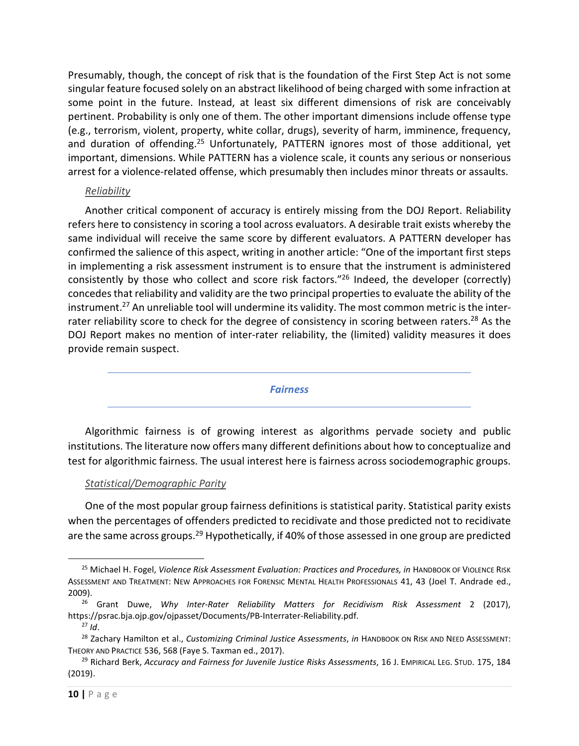Presumably, though, the concept of risk that is the foundation of the First Step Act is not some singular feature focused solely on an abstract likelihood of being charged with some infraction at some point in the future. Instead, at least six different dimensions of risk are conceivably pertinent. Probability is only one of them. The other important dimensions include offense type (e.g., terrorism, violent, property, white collar, drugs), severity of harm, imminence, frequency, and duration of offending.<sup>25</sup> Unfortunately, PATTERN ignores most of those additional, yet important, dimensions. While PATTERN has a violence scale, it counts any serious or nonserious arrest for a violence-related offense, which presumably then includes minor threats or assaults.

### *Reliability*

Another critical component of accuracy is entirely missing from the DOJ Report. Reliability refers here to consistency in scoring a tool across evaluators. A desirable trait exists whereby the same individual will receive the same score by different evaluators. A PATTERN developer has confirmed the salience of this aspect, writing in another article: "One of the important first steps in implementing a risk assessment instrument is to ensure that the instrument is administered consistently by those who collect and score risk factors."<sup>26</sup> Indeed, the developer (correctly) concedes that reliability and validity are the two principal properties to evaluate the ability of the instrument.<sup>27</sup> An unreliable tool will undermine its validity. The most common metric is the interrater reliability score to check for the degree of consistency in scoring between raters.<sup>28</sup> As the DOJ Report makes no mention of inter-rater reliability, the (limited) validity measures it does provide remain suspect.

### *Fairness*

Algorithmic fairness is of growing interest as algorithms pervade society and public institutions. The literature now offers many different definitions about how to conceptualize and test for algorithmic fairness. The usual interest here is fairness across sociodemographic groups.

### *Statistical/Demographic Parity*

One of the most popular group fairness definitions is statistical parity. Statistical parity exists when the percentages of offenders predicted to recidivate and those predicted not to recidivate are the same across groups.<sup>29</sup> Hypothetically, if 40% of those assessed in one group are predicted

<sup>25</sup> Michael H. Fogel, *Violence Risk Assessment Evaluation: Practices and Procedures, in* HANDBOOK OF VIOLENCE RISK ASSESSMENT AND TREATMENT: NEW APPROACHES FOR FORENSIC MENTAL HEALTH PROFESSIONALS 41, 43 (Joel T. Andrade ed., 2009).

<sup>26</sup> Grant Duwe, *Why Inter-Rater Reliability Matters for Recidivism Risk Assessment* 2 (2017), https://psrac.bja.ojp.gov/ojpasset/Documents/PB-Interrater-Reliability.pdf.

 $^{27}$  *Id*.

<sup>28</sup> Zachary Hamilton et al., *Customizing Criminal Justice Assessments*, *in* HANDBOOK ON RISK AND NEED ASSESSMENT: THEORY AND PRACTICE 536, 568 (Faye S. Taxman ed., 2017).

<sup>29</sup> Richard Berk, *Accuracy and Fairness for Juvenile Justice Risks Assessments*, 16 J. EMPIRICAL LEG. STUD. 175, 184 (2019).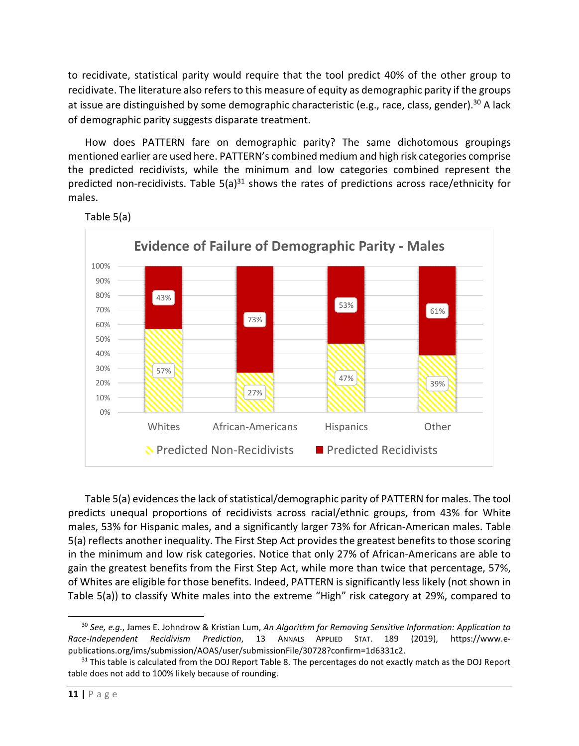to recidivate, statistical parity would require that the tool predict 40% of the other group to recidivate. The literature also refers to this measure of equity as demographic parity if the groups at issue are distinguished by some demographic characteristic (e.g., race, class, gender).<sup>30</sup> A lack of demographic parity suggests disparate treatment.

How does PATTERN fare on demographic parity? The same dichotomous groupings mentioned earlier are used here. PATTERN's combined medium and high risk categories comprise the predicted recidivists, while the minimum and low categories combined represent the predicted non-recidivists. Table  $5(a)^{31}$  shows the rates of predictions across race/ethnicity for males.



Table 5(a)

Table 5(a) evidences the lack of statistical/demographic parity of PATTERN for males. The tool predicts unequal proportions of recidivists across racial/ethnic groups, from 43% for White males, 53% for Hispanic males, and a significantly larger 73% for African-American males. Table 5(a) reflects another inequality. The First Step Act provides the greatest benefits to those scoring in the minimum and low risk categories. Notice that only 27% of African-Americans are able to gain the greatest benefits from the First Step Act, while more than twice that percentage, 57%, of Whites are eligible for those benefits. Indeed, PATTERN is significantly less likely (not shown in Table 5(a)) to classify White males into the extreme "High" risk category at 29%, compared to

<sup>30</sup> *See, e.g.*, James E. Johndrow & Kristian Lum, *An Algorithm for Removing Sensitive Information: Application to Race-Independent Recidivism Prediction*, 13 ANNALS APPLIED STAT. 189 (2019), https://www.epublications.org/ims/submission/AOAS/user/submissionFile/30728?confirm=1d6331c2.

<sup>&</sup>lt;sup>31</sup> This table is calculated from the DOJ Report Table 8. The percentages do not exactly match as the DOJ Report table does not add to 100% likely because of rounding.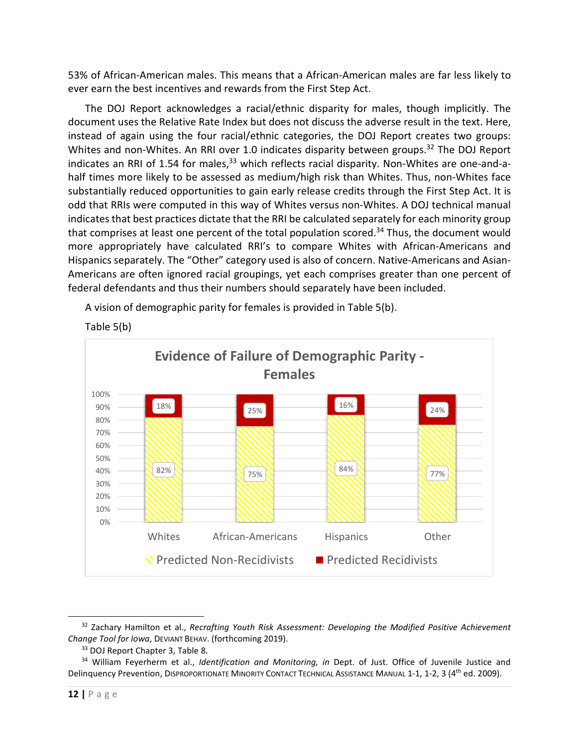53% of African-American males. This means that a African-American males are far less likely to ever earn the best incentives and rewards from the First Step Act.

The DOJ Report acknowledges a racial/ethnic disparity for males, though implicitly. The document uses the Relative Rate Index but does not discuss the adverse result in the text. Here, instead of again using the four racial/ethnic categories, the DOJ Report creates two groups: Whites and non-Whites. An RRI over 1.0 indicates disparity between groups.<sup>32</sup> The DOJ Report indicates an RRI of 1.54 for males,<sup>33</sup> which reflects racial disparity. Non-Whites are one-and-ahalf times more likely to be assessed as medium/high risk than Whites. Thus, non-Whites face substantially reduced opportunities to gain early release credits through the First Step Act. It is odd that RRIs were computed in this way of Whites versus non-Whites. A DOJ technical manual indicates that best practices dictate that the RRI be calculated separately for each minority group that comprises at least one percent of the total population scored. $34$  Thus, the document would more appropriately have calculated RRI's to compare Whites with African-Americans and Hispanics separately. The "Other" category used is also of concern. Native-Americans and Asian-Americans are often ignored racial groupings, yet each comprises greater than one percent of federal defendants and thus their numbers should separately have been included.

A vision of demographic parity for females is provided in Table 5(b).



Table 5(b)

<sup>32</sup> Zachary Hamilton et al., *Recrafting Youth Risk Assessment: Developing the Modified Positive Achievement Change Tool for Iowa*, DEVIANT BEHAV. (forthcoming 2019).

<sup>&</sup>lt;sup>33</sup> DOJ Report Chapter 3, Table 8.

<sup>34</sup> William Feyerherm et al., *Identification and Monitoring, in* Dept. of Just. Office of Juvenile Justice and Delinquency Prevention, DISPROPORTIONATE MINORITY CONTACT TECHNICAL ASSISTANCE MANUAL 1-1, 1-2, 3 (4<sup>th</sup> ed. 2009).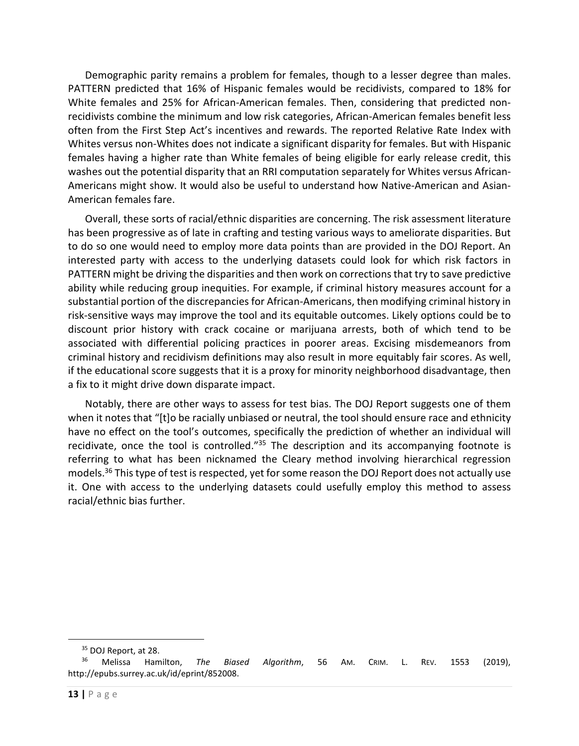Demographic parity remains a problem for females, though to a lesser degree than males. PATTERN predicted that 16% of Hispanic females would be recidivists, compared to 18% for White females and 25% for African-American females. Then, considering that predicted nonrecidivists combine the minimum and low risk categories, African-American females benefit less often from the First Step Act's incentives and rewards. The reported Relative Rate Index with Whites versus non-Whites does not indicate a significant disparity for females. But with Hispanic females having a higher rate than White females of being eligible for early release credit, this washes out the potential disparity that an RRI computation separately for Whites versus African-Americans might show. It would also be useful to understand how Native-American and Asian-American females fare.

Overall, these sorts of racial/ethnic disparities are concerning. The risk assessment literature has been progressive as of late in crafting and testing various ways to ameliorate disparities. But to do so one would need to employ more data points than are provided in the DOJ Report. An interested party with access to the underlying datasets could look for which risk factors in PATTERN might be driving the disparities and then work on corrections that try to save predictive ability while reducing group inequities. For example, if criminal history measures account for a substantial portion of the discrepancies for African-Americans, then modifying criminal history in risk-sensitive ways may improve the tool and its equitable outcomes. Likely options could be to discount prior history with crack cocaine or marijuana arrests, both of which tend to be associated with differential policing practices in poorer areas. Excising misdemeanors from criminal history and recidivism definitions may also result in more equitably fair scores. As well, if the educational score suggests that it is a proxy for minority neighborhood disadvantage, then a fix to it might drive down disparate impact.

Notably, there are other ways to assess for test bias. The DOJ Report suggests one of them when it notes that "[t]o be racially unbiased or neutral, the tool should ensure race and ethnicity have no effect on the tool's outcomes, specifically the prediction of whether an individual will recidivate, once the tool is controlled.<sup>"35</sup> The description and its accompanying footnote is referring to what has been nicknamed the Cleary method involving hierarchical regression models.<sup>36</sup> This type of test is respected, yet for some reason the DOJ Report does not actually use it. One with access to the underlying datasets could usefully employ this method to assess racial/ethnic bias further.

<sup>&</sup>lt;sup>35</sup> DOJ Report, at 28.

<sup>36</sup> Melissa Hamilton, *The Biased Algorithm*, 56 AM. CRIM. L. REV. 1553 (2019), http://epubs.surrey.ac.uk/id/eprint/852008.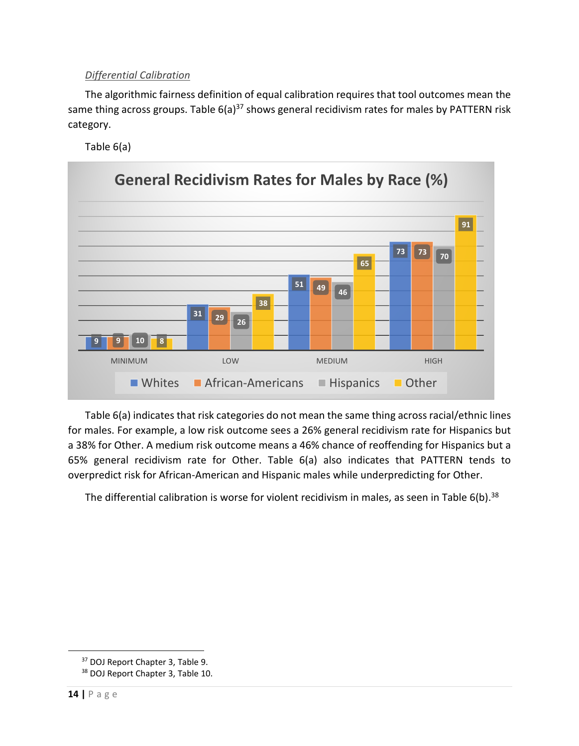# *Differential Calibration*

The algorithmic fairness definition of equal calibration requires that tool outcomes mean the same thing across groups. Table  $6(a)^{37}$  shows general recidivism rates for males by PATTERN risk category.

Table 6(a)



Table 6(a) indicates that risk categories do not mean the same thing across racial/ethnic lines for males. For example, a low risk outcome sees a 26% general recidivism rate for Hispanics but a 38% for Other. A medium risk outcome means a 46% chance of reoffending for Hispanics but a 65% general recidivism rate for Other. Table 6(a) also indicates that PATTERN tends to overpredict risk for African-American and Hispanic males while underpredicting for Other.

The differential calibration is worse for violent recidivism in males, as seen in Table 6(b).<sup>38</sup>

<sup>37</sup> DOJ Report Chapter 3, Table 9.

<sup>&</sup>lt;sup>38</sup> DOJ Report Chapter 3, Table 10.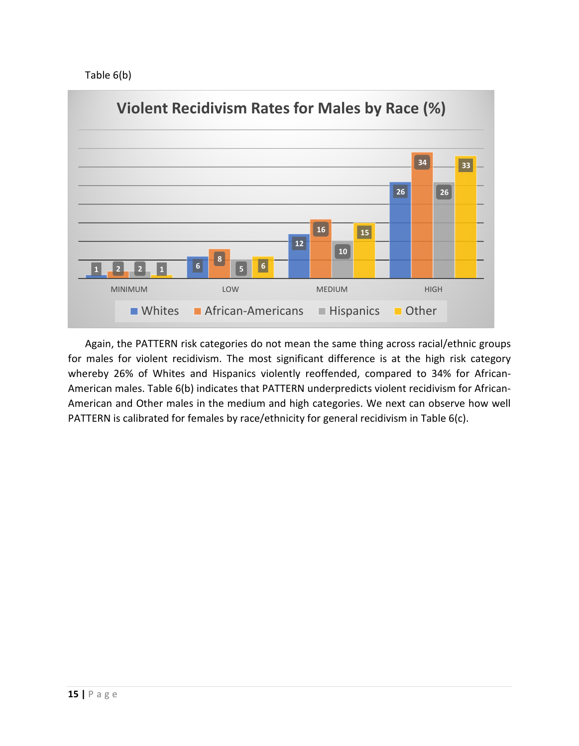Table 6(b)



Again, the PATTERN risk categories do not mean the same thing across racial/ethnic groups for males for violent recidivism. The most significant difference is at the high risk category whereby 26% of Whites and Hispanics violently reoffended, compared to 34% for African-American males. Table 6(b) indicates that PATTERN underpredicts violent recidivism for African-American and Other males in the medium and high categories. We next can observe how well PATTERN is calibrated for females by race/ethnicity for general recidivism in Table 6(c).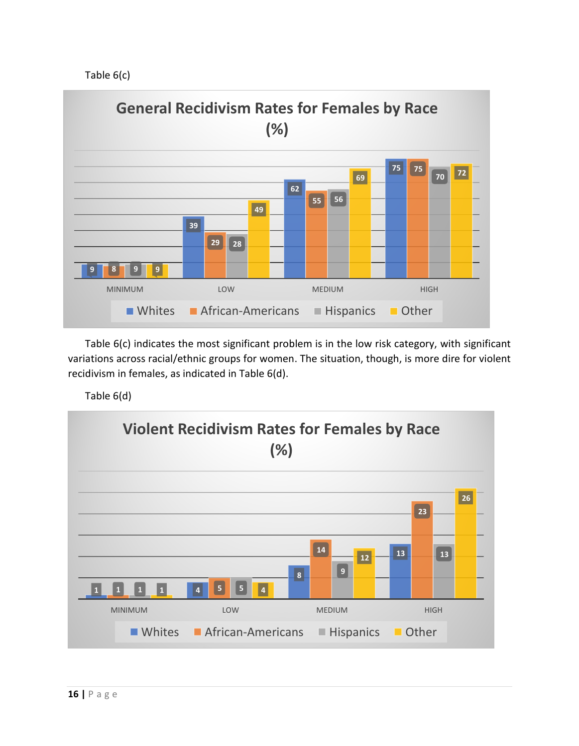Table 6(c)



Table 6(c) indicates the most significant problem is in the low risk category, with significant variations across racial/ethnic groups for women. The situation, though, is more dire for violent recidivism in females, as indicated in Table 6(d).

Table 6(d)

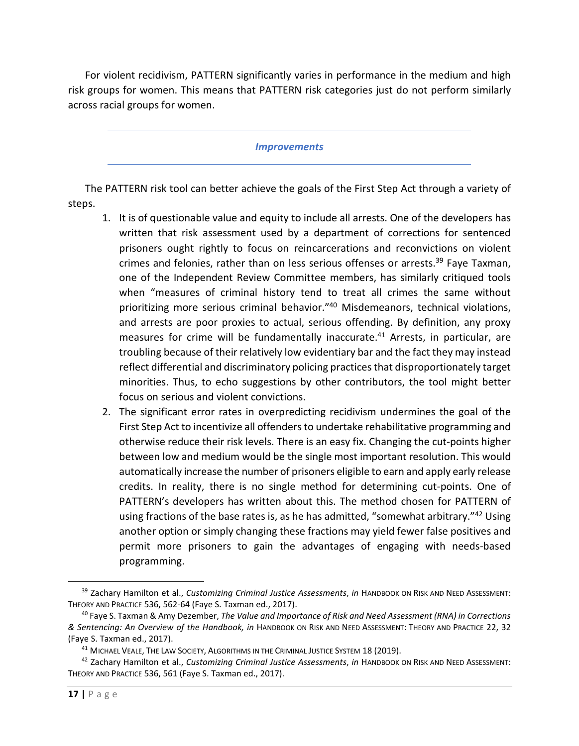For violent recidivism, PATTERN significantly varies in performance in the medium and high risk groups for women. This means that PATTERN risk categories just do not perform similarly across racial groups for women.

#### *Improvements*

The PATTERN risk tool can better achieve the goals of the First Step Act through a variety of steps.

- 1. It is of questionable value and equity to include all arrests. One of the developers has written that risk assessment used by a department of corrections for sentenced prisoners ought rightly to focus on reincarcerations and reconvictions on violent crimes and felonies, rather than on less serious offenses or arrests.<sup>39</sup> Faye Taxman. one of the Independent Review Committee members, has similarly critiqued tools when "measures of criminal history tend to treat all crimes the same without prioritizing more serious criminal behavior."<sup>40</sup> Misdemeanors, technical violations, and arrests are poor proxies to actual, serious offending. By definition, any proxy measures for crime will be fundamentally inaccurate.<sup>41</sup> Arrests, in particular, are troubling because of their relatively low evidentiary bar and the fact they may instead reflect differential and discriminatory policing practices that disproportionately target minorities. Thus, to echo suggestions by other contributors, the tool might better focus on serious and violent convictions.
- 2. The significant error rates in overpredicting recidivism undermines the goal of the First Step Act to incentivize all offenders to undertake rehabilitative programming and otherwise reduce their risk levels. There is an easy fix. Changing the cut-points higher between low and medium would be the single most important resolution. This would automatically increase the number of prisoners eligible to earn and apply early release credits. In reality, there is no single method for determining cut-points. One of PATTERN's developers has written about this. The method chosen for PATTERN of using fractions of the base rates is, as he has admitted, "somewhat arbitrary."<sup>42</sup> Using another option or simply changing these fractions may yield fewer false positives and permit more prisoners to gain the advantages of engaging with needs-based programming.

<sup>39</sup> Zachary Hamilton et al., *Customizing Criminal Justice Assessments*, *in* HANDBOOK ON RISK AND NEED ASSESSMENT: THEORY AND PRACTICE 536, 562-64 (Faye S. Taxman ed., 2017).

<sup>40</sup> Faye S. Taxman & Amy Dezember, *The Value and Importance of Risk and Need Assessment (RNA) in Corrections & Sentencing: An Overview of the Handbook, in* HANDBOOK ON RISK AND NEED ASSESSMENT: THEORY AND PRACTICE 22, 32 (Faye S. Taxman ed., 2017).

<sup>&</sup>lt;sup>41</sup> MICHAEL VEALE, THE LAW SOCIETY, ALGORITHMS IN THE CRIMINAL JUSTICE SYSTEM 18 (2019).

<sup>42</sup> Zachary Hamilton et al., *Customizing Criminal Justice Assessments*, *in* HANDBOOK ON RISK AND NEED ASSESSMENT: THEORY AND PRACTICE 536, 561 (Faye S. Taxman ed., 2017).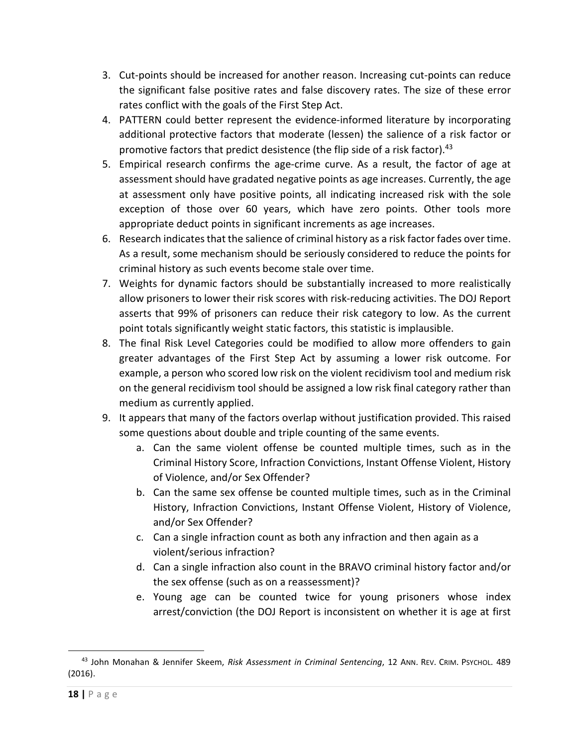- 3. Cut-points should be increased for another reason. Increasing cut-points can reduce the significant false positive rates and false discovery rates. The size of these error rates conflict with the goals of the First Step Act.
- 4. PATTERN could better represent the evidence-informed literature by incorporating additional protective factors that moderate (lessen) the salience of a risk factor or promotive factors that predict desistence (the flip side of a risk factor).<sup>43</sup>
- 5. Empirical research confirms the age-crime curve. As a result, the factor of age at assessment should have gradated negative points as age increases. Currently, the age at assessment only have positive points, all indicating increased risk with the sole exception of those over 60 years, which have zero points. Other tools more appropriate deduct points in significant increments as age increases.
- 6. Research indicates that the salience of criminal history as a risk factor fades over time. As a result, some mechanism should be seriously considered to reduce the points for criminal history as such events become stale over time.
- 7. Weights for dynamic factors should be substantially increased to more realistically allow prisoners to lower their risk scores with risk-reducing activities. The DOJ Report asserts that 99% of prisoners can reduce their risk category to low. As the current point totals significantly weight static factors, this statistic is implausible.
- 8. The final Risk Level Categories could be modified to allow more offenders to gain greater advantages of the First Step Act by assuming a lower risk outcome. For example, a person who scored low risk on the violent recidivism tool and medium risk on the general recidivism tool should be assigned a low risk final category rather than medium as currently applied.
- 9. It appears that many of the factors overlap without justification provided. This raised some questions about double and triple counting of the same events.
	- a. Can the same violent offense be counted multiple times, such as in the Criminal History Score, Infraction Convictions, Instant Offense Violent, History of Violence, and/or Sex Offender?
	- b. Can the same sex offense be counted multiple times, such as in the Criminal History, Infraction Convictions, Instant Offense Violent, History of Violence, and/or Sex Offender?
	- c. Can a single infraction count as both any infraction and then again as a violent/serious infraction?
	- d. Can a single infraction also count in the BRAVO criminal history factor and/or the sex offense (such as on a reassessment)?
	- e. Young age can be counted twice for young prisoners whose index arrest/conviction (the DOJ Report is inconsistent on whether it is age at first

<sup>43</sup> John Monahan & Jennifer Skeem, *Risk Assessment in Criminal Sentencing*, 12 ANN. REV. CRIM. PSYCHOL. 489 (2016).